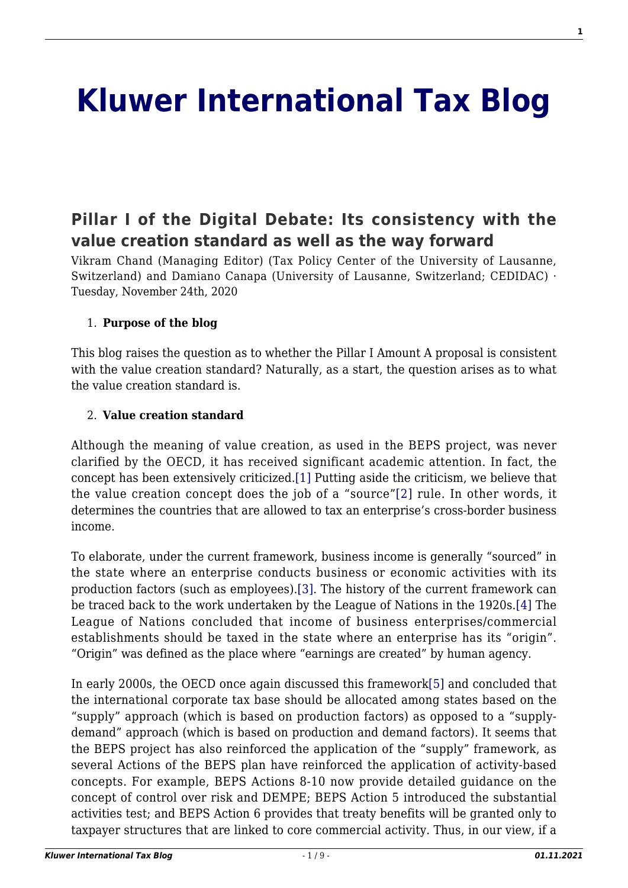# **[Kluwer International Tax Blog](http://kluwertaxblog.com/)**

## **[Pillar I of the Digital Debate: Its consistency with the](http://kluwertaxblog.com/2020/11/24/pillar-i-of-the-digital-debate-its-consistency-with-the-value-creation-standard-as-well-as-the-way-forward/) [value creation standard as well as the way forward](http://kluwertaxblog.com/2020/11/24/pillar-i-of-the-digital-debate-its-consistency-with-the-value-creation-standard-as-well-as-the-way-forward/)**

Vikram Chand (Managing Editor) (Tax Policy Center of the University of Lausanne, Switzerland) and Damiano Canapa (University of Lausanne, Switzerland; CEDIDAC) · Tuesday, November 24th, 2020

#### 1. **Purpose of the blog**

This blog raises the question as to whether the Pillar I Amount A proposal is consistent with the value creation standard? Naturally, as a start, the question arises as to what the value creation standard is.

#### 2. **Value creation standard**

<span id="page-0-1"></span><span id="page-0-0"></span>Although the meaning of value creation, as used in the BEPS project, was never clarified by the OECD, it has received significant academic attention. In fact, the concept has been extensively criticized.[\[1\]](#page-4-0) Putting aside the criticism, we believe that the value creation concept does the job of a "source["\[2\]](#page-4-1) rule. In other words, it determines the countries that are allowed to tax an enterprise's cross-border business income.

<span id="page-0-3"></span><span id="page-0-2"></span>To elaborate, under the current framework, business income is generally "sourced" in the state where an enterprise conducts business or economic activities with its production factors (such as employees)[.\[3\]](#page-4-2). The history of the current framework can be traced back to the work undertaken by the League of Nations in the 1920s[.\[4\]](#page-4-3) The League of Nations concluded that income of business enterprises/commercial establishments should be taxed in the state where an enterprise has its "origin". "Origin" was defined as the place where "earnings are created" by human agency.

<span id="page-0-4"></span>In early 2000s, the OECD once again discussed this framewor[k\[5\]](#page-4-4) and concluded that the international corporate tax base should be allocated among states based on the "supply" approach (which is based on production factors) as opposed to a "supplydemand" approach (which is based on production and demand factors). It seems that the BEPS project has also reinforced the application of the "supply" framework, as several Actions of the BEPS plan have reinforced the application of activity-based concepts. For example, BEPS Actions 8-10 now provide detailed guidance on the concept of control over risk and DEMPE; BEPS Action 5 introduced the substantial activities test; and BEPS Action 6 provides that treaty benefits will be granted only to taxpayer structures that are linked to core commercial activity. Thus, in our view, if a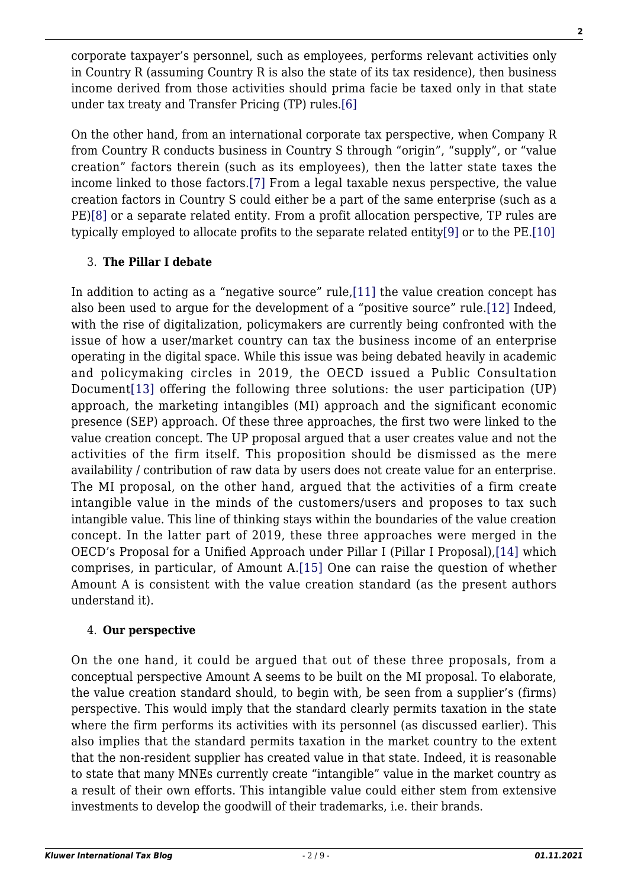corporate taxpayer's personnel, such as employees, performs relevant activities only in Country R (assuming Country R is also the state of its tax residence), then business income derived from those activities should prima facie be taxed only in that state under tax treaty and Transfer Pricing (TP) rules.[\[6\]](#page-4-5)

<span id="page-1-1"></span><span id="page-1-0"></span>On the other hand, from an international corporate tax perspective, when Company R from Country R conducts business in Country S through "origin", "supply", or "value creation" factors therein (such as its employees), then the latter state taxes the income linked to those factors[.\[7\]](#page-4-6) From a legal taxable nexus perspective, the value creation factors in Country S could either be a part of the same enterprise (such as a PE[\)\[8\]](#page-4-7) or a separate related entity. From a profit allocation perspective, TP rules are typically employed to allocate profits to the separate related entit[y\[9\]](#page-4-8) or to the PE.[\[10\]](#page-4-9)

### <span id="page-1-3"></span><span id="page-1-2"></span>3. **The Pillar I debate**

<span id="page-1-6"></span><span id="page-1-5"></span><span id="page-1-4"></span>In addition to acting as a "negative source" rule,[\[11\]](#page-5-0) the value creation concept has also been used to argue for the development of a "positive source" rule.[\[12\]](#page-5-1) Indeed, with the rise of digitalization, policymakers are currently being confronted with the issue of how a user/market country can tax the business income of an enterprise operating in the digital space. While this issue was being debated heavily in academic and policymaking circles in 2019, the OECD issued a Public Consultation Document[\[13\]](#page-5-2) offering the following three solutions: the user participation (UP) approach, the marketing intangibles (MI) approach and the significant economic presence (SEP) approach. Of these three approaches, the first two were linked to the value creation concept. The UP proposal argued that a user creates value and not the activities of the firm itself. This proposition should be dismissed as the mere availability / contribution of raw data by users does not create value for an enterprise. The MI proposal, on the other hand, argued that the activities of a firm create intangible value in the minds of the customers/users and proposes to tax such intangible value. This line of thinking stays within the boundaries of the value creation concept. In the latter part of 2019, these three approaches were merged in the OECD's Proposal for a Unified Approach under Pillar I (Pillar I Proposal),[\[14\]](#page-5-3) which comprises, in particular, of Amount A.[\[15\]](#page-5-4) One can raise the question of whether Amount A is consistent with the value creation standard (as the present authors understand it).

### <span id="page-1-8"></span><span id="page-1-7"></span>4. **Our perspective**

On the one hand, it could be argued that out of these three proposals, from a conceptual perspective Amount A seems to be built on the MI proposal. To elaborate, the value creation standard should, to begin with, be seen from a supplier's (firms) perspective. This would imply that the standard clearly permits taxation in the state where the firm performs its activities with its personnel (as discussed earlier). This also implies that the standard permits taxation in the market country to the extent that the non-resident supplier has created value in that state. Indeed, it is reasonable to state that many MNEs currently create "intangible" value in the market country as a result of their own efforts. This intangible value could either stem from extensive investments to develop the goodwill of their trademarks, i.e. their brands.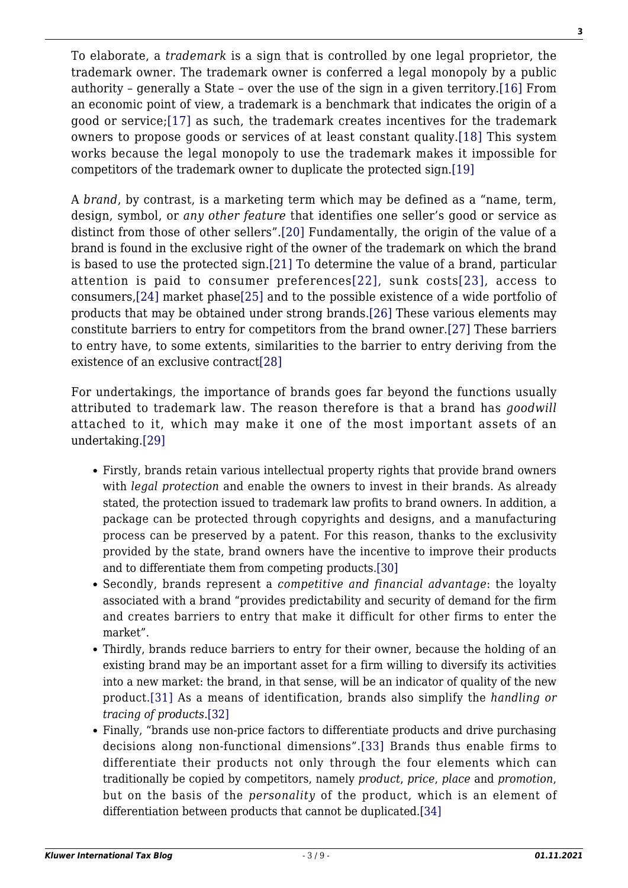<span id="page-2-1"></span><span id="page-2-0"></span>To elaborate, a *trademark* is a sign that is controlled by one legal proprietor, the trademark owner. The trademark owner is conferred a legal monopoly by a public authority – generally a State – over the use of the sign in a given territory.[\[16\]](#page-5-5) From an economic point of view, a trademark is a benchmark that indicates the origin of a good or service;[\[17\]](#page-5-6) as such, the trademark creates incentives for the trademark owners to propose goods or services of at least constant quality.[\[18\]](#page-5-7) This system works because the legal monopoly to use the trademark makes it impossible for competitors of the trademark owner to duplicate the protected sign[.\[19\]](#page-5-8)

<span id="page-2-7"></span><span id="page-2-6"></span><span id="page-2-5"></span><span id="page-2-4"></span><span id="page-2-3"></span><span id="page-2-2"></span>A *brand*, by contrast, is a marketing term which may be defined as a "name, term, design, symbol, or *any other feature* that identifies one seller's good or service as distinct from those of other sellers".[\[20\]](#page-6-0) Fundamentally, the origin of the value of a brand is found in the exclusive right of the owner of the trademark on which the brand is based to use the protected sign[.\[21\]](#page-6-1) To determine the value of a brand, particular attention is paid to consumer preferences[\[22\]](#page-6-2), sunk costs[\[23\],](#page-6-3) access to consumers,[\[24\]](#page-6-4) market phase[\[25\]](#page-6-5) and to the possible existence of a wide portfolio of products that may be obtained under strong brands[.\[26\]](#page-6-6) These various elements may constitute barriers to entry for competitors from the brand owner[.\[27\]](#page-6-7) These barriers to entry have, to some extents, similarities to the barrier to entry deriving from the existence of an exclusive contract[\[28\]](#page-7-0)

<span id="page-2-11"></span><span id="page-2-10"></span><span id="page-2-9"></span><span id="page-2-8"></span>For undertakings, the importance of brands goes far beyond the functions usually attributed to trademark law. The reason therefore is that a brand has *goodwill* attached to it, which may make it one of the most important assets of an undertaking[.\[29\]](#page-7-1)

- Firstly, brands retain various intellectual property rights that provide brand owners with *legal protection* and enable the owners to invest in their brands. As already stated, the protection issued to trademark law profits to brand owners. In addition, a package can be protected through copyrights and designs, and a manufacturing process can be preserved by a patent. For this reason, thanks to the exclusivity provided by the state, brand owners have the incentive to improve their products and to differentiate them from competing products[.\[30\]](#page-7-2)
- <span id="page-2-12"></span>Secondly, brands represent a *competitive and financial advantage*: the loyalty associated with a brand "provides predictability and security of demand for the firm and creates barriers to entry that make it difficult for other firms to enter the market".
- Thirdly, brands reduce barriers to entry for their owner, because the holding of an existing brand may be an important asset for a firm willing to diversify its activities into a new market: the brand, in that sense, will be an indicator of quality of the new product.[\[31\]](#page-7-3) As a means of identification, brands also simplify the *handling or tracing of products*.[\[32\]](#page-7-4)
- <span id="page-2-16"></span><span id="page-2-15"></span><span id="page-2-14"></span><span id="page-2-13"></span>Finally, "brands use non-price factors to differentiate products and drive purchasing decisions along non-functional dimensions"[.\[33\]](#page-7-5) Brands thus enable firms to differentiate their products not only through the four elements which can traditionally be copied by competitors, namely *product*, *price*, *place* and *promotion*, but on the basis of the *personality* of the product, which is an element of differentiation between products that cannot be duplicated[.\[34\]](#page-7-6)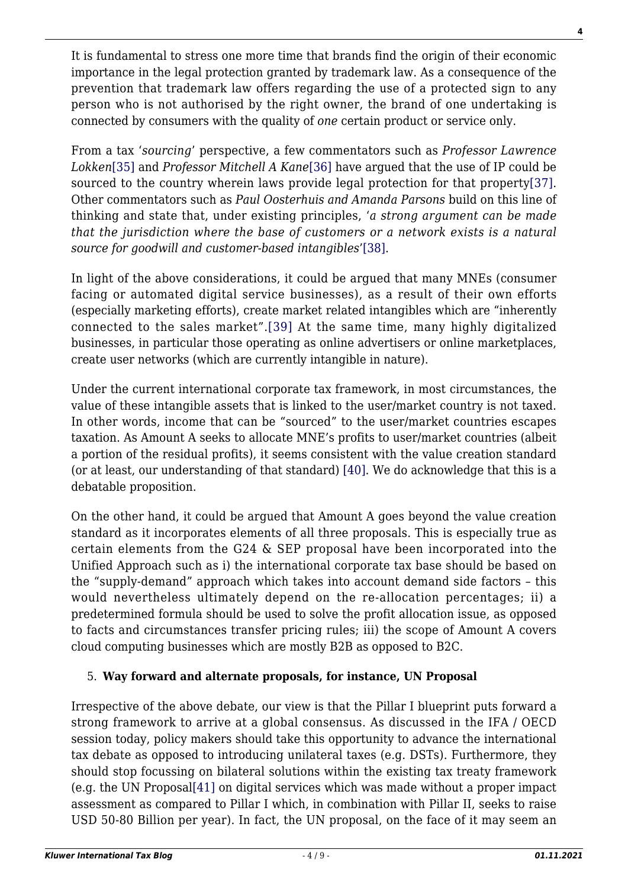It is fundamental to stress one more time that brands find the origin of their economic importance in the legal protection granted by trademark law. As a consequence of the prevention that trademark law offers regarding the use of a protected sign to any person who is not authorised by the right owner, the brand of one undertaking is connected by consumers with the quality of *one* certain product or service only.

<span id="page-3-1"></span><span id="page-3-0"></span>From a tax '*sourcing*' perspective, a few commentators such as *Professor Lawrence Lokken*[\[35\]](#page-7-7) and *Professor Mitchell A Kane*[\[36\]](#page-7-8) have argued that the use of IP could be sourced to the country wherein laws provide legal protection for that propert[y\[37\]](#page-7-9). Other commentators such as *Paul Oosterhuis and Amanda Parsons* build on this line of thinking and state that, under existing principles, '*a strong argument can be made that the jurisdiction where the base of customers or a network exists is a natural source for goodwill and customer-based intangibles*['\[38\]](#page-7-10).

<span id="page-3-3"></span><span id="page-3-2"></span>In light of the above considerations, it could be argued that many MNEs (consumer facing or automated digital service businesses), as a result of their own efforts (especially marketing efforts), create market related intangibles which are "inherently connected to the sales market".[\[39\]](#page-7-11) At the same time, many highly digitalized businesses, in particular those operating as online advertisers or online marketplaces, create user networks (which are currently intangible in nature).

Under the current international corporate tax framework, in most circumstances, the value of these intangible assets that is linked to the user/market country is not taxed. In other words, income that can be "sourced" to the user/market countries escapes taxation. As Amount A seeks to allocate MNE's profits to user/market countries (albeit a portion of the residual profits), it seems consistent with the value creation standard (or at least, our understanding of that standard) [\[40\].](#page-7-12) We do acknowledge that this is a debatable proposition.

<span id="page-3-4"></span>On the other hand, it could be argued that Amount A goes beyond the value creation standard as it incorporates elements of all three proposals. This is especially true as certain elements from the G24 & SEP proposal have been incorporated into the Unified Approach such as i) the international corporate tax base should be based on the "supply-demand" approach which takes into account demand side factors – this would nevertheless ultimately depend on the re-allocation percentages; ii) a predetermined formula should be used to solve the profit allocation issue, as opposed to facts and circumstances transfer pricing rules; iii) the scope of Amount A covers cloud computing businesses which are mostly B2B as opposed to B2C.

### 5. **Way forward and alternate proposals, for instance, UN Proposal**

<span id="page-3-5"></span>Irrespective of the above debate, our view is that the Pillar I blueprint puts forward a strong framework to arrive at a global consensus. As discussed in the IFA / OECD session today, policy makers should take this opportunity to advance the international tax debate as opposed to introducing unilateral taxes (e.g. DSTs). Furthermore, they should stop focussing on bilateral solutions within the existing tax treaty framework (e.g. the UN Proposal[\[41\]](#page-7-13) on digital services which was made without a proper impact assessment as compared to Pillar I which, in combination with Pillar II, seeks to raise USD 50-80 Billion per year). In fact, the UN proposal, on the face of it may seem an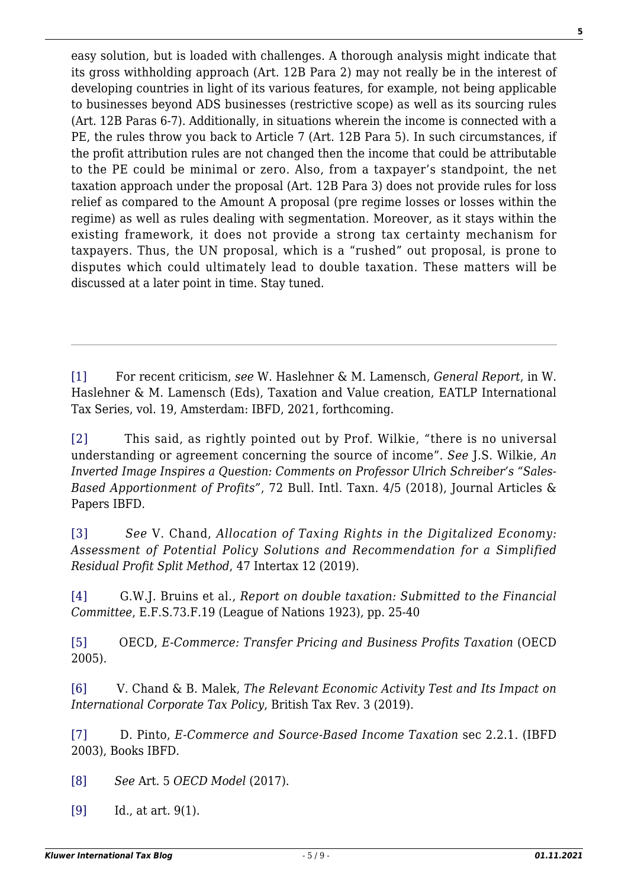easy solution, but is loaded with challenges. A thorough analysis might indicate that its gross withholding approach (Art. 12B Para 2) may not really be in the interest of developing countries in light of its various features, for example, not being applicable to businesses beyond ADS businesses (restrictive scope) as well as its sourcing rules (Art. 12B Paras 6-7). Additionally, in situations wherein the income is connected with a PE, the rules throw you back to Article 7 (Art. 12B Para 5). In such circumstances, if the profit attribution rules are not changed then the income that could be attributable to the PE could be minimal or zero. Also, from a taxpayer's standpoint, the net taxation approach under the proposal (Art. 12B Para 3) does not provide rules for loss relief as compared to the Amount A proposal (pre regime losses or losses within the regime) as well as rules dealing with segmentation. Moreover, as it stays within the existing framework, it does not provide a strong tax certainty mechanism for taxpayers. Thus, the UN proposal, which is a "rushed" out proposal, is prone to disputes which could ultimately lead to double taxation. These matters will be discussed at a later point in time. Stay tuned.

<span id="page-4-0"></span>[\[1\]](#page-0-0) For recent criticism, *see* W. Haslehner & M. Lamensch, *General Report*, in W. Haslehner & M. Lamensch (Eds), Taxation and Value creation, EATLP International Tax Series, vol. 19, Amsterdam: IBFD, 2021, forthcoming.

<span id="page-4-1"></span>[\[2\]](#page-0-1) This said, as rightly pointed out by Prof. Wilkie, "there is no universal understanding or agreement concerning the source of income". *See* J.S. Wilkie, *An Inverted Image Inspires a Question: Comments on Professor Ulrich Schreiber's "Sales-Based Apportionment of Profits"*, 72 Bull. Intl. Taxn. 4/5 (2018), Journal Articles & Papers IBFD.

<span id="page-4-2"></span>[\[3\]](#page-0-2) *See* V. Chand, *Allocation of Taxing Rights in the Digitalized Economy: Assessment of Potential Policy Solutions and Recommendation for a Simplified Residual Profit Split Method*, 47 Intertax 12 (2019).

<span id="page-4-3"></span>[\[4\]](#page-0-3) G.W.J. Bruins et al., *Report on double taxation: Submitted to the Financial Committee*, E.F.S.73.F.19 (League of Nations 1923), pp. 25-40

<span id="page-4-4"></span>[\[5\]](#page-0-4) OECD, *E-Commerce: Transfer Pricing and Business Profits Taxation* (OECD 2005).

<span id="page-4-5"></span>[\[6\]](#page-1-0) V. Chand & B. Malek, *The Relevant Economic Activity Test and Its Impact on International Corporate Tax Policy*, British Tax Rev. 3 (2019).

<span id="page-4-6"></span>[\[7\]](#page-1-1) D. Pinto, *E-Commerce and Source-Based Income Taxation* sec 2.2.1. (IBFD 2003), Books IBFD.

<span id="page-4-7"></span>[\[8\]](#page-1-2) *See* Art. 5 *OECD Model* (2017).

<span id="page-4-9"></span><span id="page-4-8"></span>[\[9\]](#page-1-3) Id., at art. 9(1).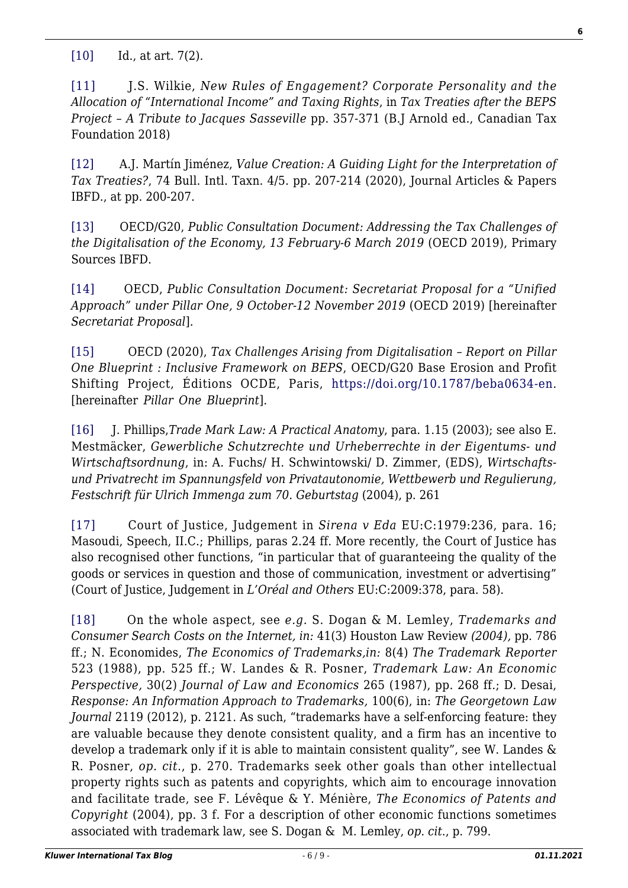[\[10\]](#page-1-3) Id., at art. 7(2)*.*

<span id="page-5-0"></span>[\[11\]](#page-1-4) **J.S. Wilkie,** *New Rules of Engagement? Corporate Personality and the Allocation of "International Income" and Taxing Rights*, in *Tax Treaties after the BEPS Project – A Tribute to Jacques Sasseville* pp. 357-371 (B.J Arnold ed., Canadian Tax Foundation 2018)

<span id="page-5-1"></span>[\[12\]](#page-1-5) A.J. Martín Jiménez, *Value Creation: A Guiding Light for the Interpretation of Tax Treaties?*, 74 Bull. Intl. Taxn. 4/5. pp. 207-214 (2020), Journal Articles & Papers IBFD., at pp. 200-207.

<span id="page-5-2"></span>[\[13\]](#page-1-6) OECD/G20, *Public Consultation Document: Addressing the Tax Challenges of the Digitalisation of the Economy, 13 February-6 March 2019* (OECD 2019), Primary Sources IBFD.

<span id="page-5-3"></span>[\[14\]](#page-1-7) OECD, *Public Consultation Document: Secretariat Proposal for a "Unified Approach" under Pillar One, 9 October-12 November 2019* (OECD 2019) [hereinafter *Secretariat Proposal*].

<span id="page-5-4"></span>[\[15\]](#page-1-8) OECD (2020), *Tax Challenges Arising from Digitalisation – Report on Pillar One Blueprint : Inclusive Framework on BEPS*, OECD/G20 Base Erosion and Profit Shifting Project, Éditions OCDE, Paris,<https://doi.org/10.1787/beba0634-en>. [hereinafter *Pillar One Blueprint*].

<span id="page-5-5"></span>[\[16\]](#page-2-0) J. Phillips,*Trade Mark Law: A Practical Anatomy*, para. 1.15 (2003); see also E. Mestmäcker, *Gewerbliche Schutzrechte und Urheberrechte in der Eigentums- und Wirtschaftsordnung*, in: A. Fuchs/ H. Schwintowski/ D. Zimmer, (EDS), *Wirtschaftsund Privatrecht im Spannungsfeld von Privatautonomie, Wettbewerb und Regulierung, Festschrift für Ulrich Immenga zum 70. Geburtstag* (2004), p. 261

<span id="page-5-6"></span>[\[17\]](#page-2-1) Court of Justice, Judgement in *Sirena v Eda* EU:C:1979:236, para. 16; Masoudi, Speech, II.C.; Phillips, paras 2.24 ff. More recently, the Court of Justice has also recognised other functions, "in particular that of guaranteeing the quality of the goods or services in question and those of communication, investment or advertising" (Court of Justice, Judgement in *L'Oréal and Others* EU:C:2009:378, para. 58).

<span id="page-5-8"></span><span id="page-5-7"></span>[\[18\]](#page-2-2) On the whole aspect, see *e.g.* S. Dogan & M. Lemley, *Trademarks and Consumer Search Costs on the Internet, in:* 41(3) Houston Law Review *(2004),* pp. 786 ff.; N. Economides, *The Economics of Trademarks,in:* 8(4) *The Trademark Reporter* 523 (1988), pp. 525 ff.; W. Landes & R. Posner, *Trademark Law: An Economic Perspective,* 30(2) *Journal of Law and Economics* 265 (1987), pp. 268 ff.; D. Desai, *Response: An Information Approach to Trademarks,* 100(6), in: *The Georgetown Law Journal* 2119 (2012), p. 2121. As such, "trademarks have a self-enforcing feature: they are valuable because they denote consistent quality, and a firm has an incentive to develop a trademark only if it is able to maintain consistent quality", see W. Landes & R. Posner, *op. cit*., p. 270. Trademarks seek other goals than other intellectual property rights such as patents and copyrights, which aim to encourage innovation and facilitate trade, see F. Lévêque & Y. Ménière, *The Economics of Patents and Copyright* (2004), pp. 3 f. For a description of other economic functions sometimes associated with trademark law, see S. Dogan & M. Lemley, *op. cit.*, p. 799.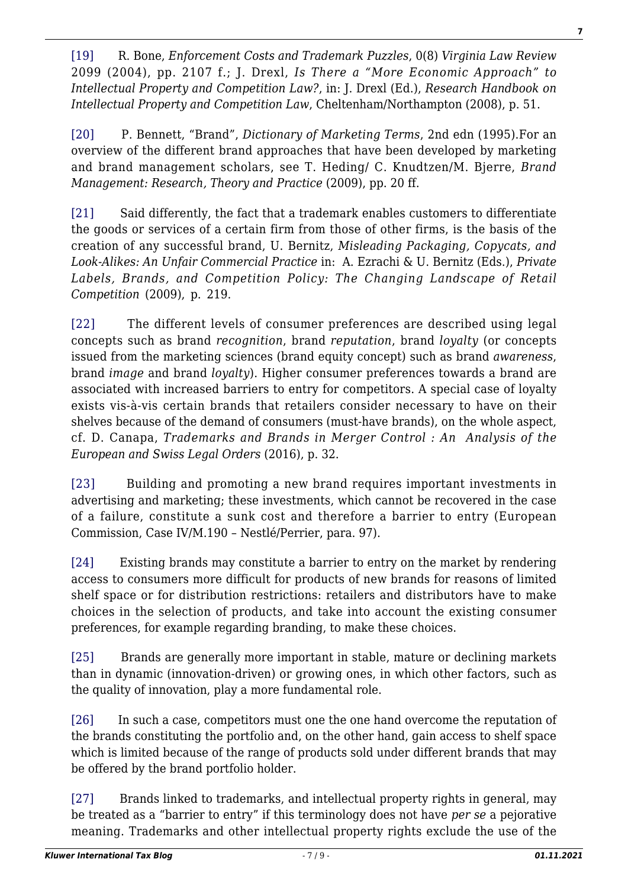[\[19\]](#page-2-3) R. Bone, *Enforcement Costs and Trademark Puzzles*, 0(8) *Virginia Law Review* 2099 (2004), pp. 2107 f.; J. Drexl, *Is There a "More Economic Approach" to Intellectual Property and Competition Law?*, in: J. Drexl (Ed.), *Research Handbook on Intellectual Property and Competition Law*, Cheltenham/Northampton (2008), p. 51.

<span id="page-6-0"></span>[\[20\]](#page-2-4) P. Bennett, "Brand", *Dictionary of Marketing Terms*, 2nd edn (1995).For an overview of the different brand approaches that have been developed by marketing and brand management scholars, see T. Heding/ C. Knudtzen/M. Bjerre, *Brand Management: Research, Theory and Practice* (2009), pp. 20 ff.

<span id="page-6-1"></span>[\[21\]](#page-2-5) Said differently, the fact that a trademark enables customers to differentiate the goods or services of a certain firm from those of other firms, is the basis of the creation of any successful brand, U. Bernitz, *Misleading Packaging, Copycats, and Look-Alikes: An Unfair Commercial Practice* in: A. Ezrachi & U. Bernitz (Eds.), *Private Labels, Brands, and Competition Policy: The Changing Landscape of Retail Competition* (2009), p. 219.

<span id="page-6-2"></span>[\[22\]](#page-2-6) The different levels of consumer preferences are described using legal concepts such as brand *recognition*, brand *reputation*, brand *loyalty* (or concepts issued from the marketing sciences (brand equity concept) such as brand *awareness*, brand *image* and brand *loyalty*). Higher consumer preferences towards a brand are associated with increased barriers to entry for competitors. A special case of loyalty exists vis-à-vis certain brands that retailers consider necessary to have on their shelves because of the demand of consumers (must-have brands), on the whole aspect, cf. D. Canapa, *Trademarks and Brands in Merger Control : An Analysis of the European and Swiss Legal Orders* (2016), p. 32.

<span id="page-6-3"></span>[\[23\]](#page-2-6) Building and promoting a new brand requires important investments in advertising and marketing; these investments, which cannot be recovered in the case of a failure, constitute a sunk cost and therefore a barrier to entry (European Commission, Case IV/M.190 – Nestlé/Perrier, para. 97).

<span id="page-6-4"></span>[\[24\]](#page-2-6) Existing brands may constitute a barrier to entry on the market by rendering access to consumers more difficult for products of new brands for reasons of limited shelf space or for distribution restrictions: retailers and distributors have to make choices in the selection of products, and take into account the existing consumer preferences, for example regarding branding, to make these choices.

<span id="page-6-5"></span>[\[25\]](#page-2-7) Brands are generally more important in stable, mature or declining markets than in dynamic (innovation-driven) or growing ones, in which other factors, such as the quality of innovation, play a more fundamental role.

<span id="page-6-6"></span>[\[26\]](#page-2-8) In such a case, competitors must one the one hand overcome the reputation of the brands constituting the portfolio and, on the other hand, gain access to shelf space which is limited because of the range of products sold under different brands that may be offered by the brand portfolio holder.

<span id="page-6-7"></span>[\[27\]](#page-2-9) Brands linked to trademarks, and intellectual property rights in general, may be treated as a "barrier to entry" if this terminology does not have *per se* a pejorative meaning. Trademarks and other intellectual property rights exclude the use of the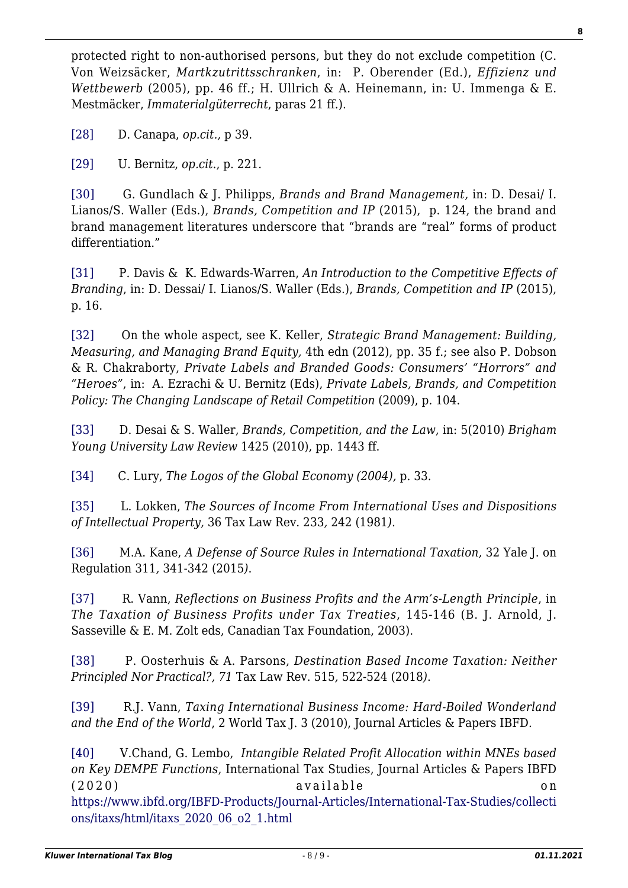protected right to non-authorised persons, but they do not exclude competition (C. Von Weizsäcker, *Martkzutrittsschranken*, in:P. Oberender (Ed.), *Effizienz und Wettbewerb* (2005), pp. 46 ff.; H. Ullrich & A. Heinemann, in: U. Immenga & E. Mestmäcker, *Immaterialgüterrecht*, paras 21 ff.).

<span id="page-7-0"></span>[\[28\]](#page-2-10) D. Canapa, *op.cit.,* p 39.

<span id="page-7-1"></span>[\[29\]](#page-2-11) U. Bernitz, *op.cit*., p. 221.

<span id="page-7-2"></span>[\[30\]](#page-2-12) G. Gundlach & J. Philipps, *Brands and Brand Management,* in: D. Desai/ I. Lianos/S. Waller (Eds.), *Brands, Competition and IP* (2015), p. 124, the brand and brand management literatures underscore that "brands are "real" forms of product differentiation."

<span id="page-7-3"></span>[\[31\]](#page-2-13) P. Davis & K. Edwards-Warren, *An Introduction to the Competitive Effects of Branding*, in: D. Dessai/ I. Lianos/S. Waller (Eds.), *Brands, Competition and IP* (2015), p. 16.

<span id="page-7-4"></span>[\[32\]](#page-2-14) On the whole aspect, see K. Keller, *Strategic Brand Management: Building, Measuring, and Managing Brand Equity,* 4th edn (2012), pp. 35 f.; see also P. Dobson & R. Chakraborty, *Private Labels and Branded Goods: Consumers' "Horrors" and "Heroes"*, in: A. Ezrachi & U. Bernitz (Eds), *Private Labels, Brands, and Competition Policy: The Changing Landscape of Retail Competition* (2009), p. 104.

<span id="page-7-5"></span>[\[33\]](#page-2-15) D. Desai & S. Waller, *Brands, Competition, and the Law*, in: 5(2010) *Brigham Young University Law Review* 1425 (2010), pp. 1443 ff.

<span id="page-7-6"></span>[\[34\]](#page-2-16) C. Lury, *The Logos of the Global Economy (2004),* p. 33.

<span id="page-7-7"></span>[\[35\]](#page-3-0) L. Lokken, *The Sources of Income From International Uses and Dispositions of Intellectual Property,* 36 Tax Law Rev. 233*,* 242 (1981*)*.

<span id="page-7-8"></span>[\[36\]](#page-3-0) M.A. Kane, *A Defense of Source Rules in International Taxation,* 32 Yale J. on Regulation 311*,* 341-342 (2015*)*.

<span id="page-7-9"></span>[\[37\]](#page-3-1) R. Vann, *Reflections on Business Profits and the Arm's-Length Principle*, in *The Taxation of Business Profits under Tax Treaties*, 145-146 (B. J. Arnold, J. Sasseville & E. M. Zolt eds, Canadian Tax Foundation, 2003).

<span id="page-7-10"></span>[\[38\]](#page-3-2) P. Oosterhuis & A. Parsons, *Destination Based Income Taxation: Neither Principled Nor Practical?, 71* Tax Law Rev. 515*,* 522-524 (2018*)*.

<span id="page-7-11"></span>[\[39\]](#page-3-3) R.J. Vann, *Taxing International Business Income: Hard-Boiled Wonderland and the End of the World*, 2 World Tax J. 3 (2010), Journal Articles & Papers IBFD.

<span id="page-7-13"></span><span id="page-7-12"></span>[\[40\]](#page-3-4) V.Chand, G. Lembo, *Intangible Related Profit Allocation within MNEs based on Key DEMPE Functions*, International Tax Studies, Journal Articles & Papers IBFD (2020) available on [https://www.ibfd.org/IBFD-Products/Journal-Articles/International-Tax-Studies/collecti](https://www.ibfd.org/IBFD-Products/Journal-Articles/International-Tax-Studies/collections/itaxs/html/itaxs_2020_06_o2_1.html) [ons/itaxs/html/itaxs\\_2020\\_06\\_o2\\_1.html](https://www.ibfd.org/IBFD-Products/Journal-Articles/International-Tax-Studies/collections/itaxs/html/itaxs_2020_06_o2_1.html)